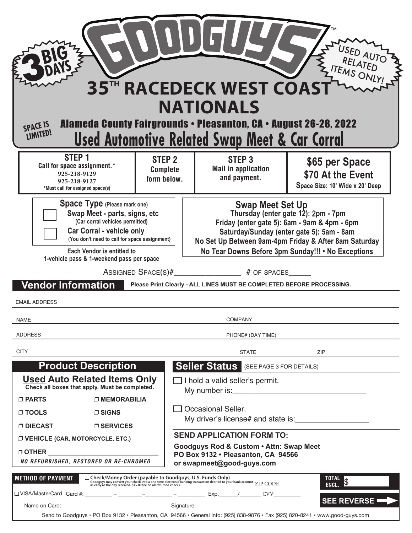| 35TH RACEDECK WEST COAST<br><b>NATIONALS</b><br><b>Alameda County Fairgrounds • Pleasanton, CA • August 26-28, 2022</b><br><b>SPACE IS</b><br><b>LIMITED!</b><br><u>Used Automotive Related Swap Meet &amp; Car Corral</u>                                                                                                                                                                                                                                                                                                                                                                                                                                                                                                      |                                                                                                                                                                             |  |                                                                                                                                                |                                                                                                                                                                                                                                                                                                                                                                     |                                                                        |
|---------------------------------------------------------------------------------------------------------------------------------------------------------------------------------------------------------------------------------------------------------------------------------------------------------------------------------------------------------------------------------------------------------------------------------------------------------------------------------------------------------------------------------------------------------------------------------------------------------------------------------------------------------------------------------------------------------------------------------|-----------------------------------------------------------------------------------------------------------------------------------------------------------------------------|--|------------------------------------------------------------------------------------------------------------------------------------------------|---------------------------------------------------------------------------------------------------------------------------------------------------------------------------------------------------------------------------------------------------------------------------------------------------------------------------------------------------------------------|------------------------------------------------------------------------|
|                                                                                                                                                                                                                                                                                                                                                                                                                                                                                                                                                                                                                                                                                                                                 | STEP <sub>1</sub><br>STEP <sub>2</sub><br>Call for space assignment.*<br><b>Complete</b><br>925-218-9129<br>form below.<br>925-218-9127<br>*Must call for assigned space(s) |  |                                                                                                                                                | STEP <sub>3</sub><br><b>Mail in application</b><br>and payment.                                                                                                                                                                                                                                                                                                     | \$65 per Space<br>\$70 At the Event<br>Space Size: 10' Wide x 20' Deep |
| Space Type (Please mark one)<br><b>Swap Meet Set Up</b><br>Thursday (enter gate 12): 2pm - 7pm<br>Swap Meet - parts, signs, etc.<br>(Car corral vehicles permitted)<br>Friday (enter gate 5): 6am - 9am & 4pm - 6pm<br><b>Car Corral - vehicle only</b><br>Saturday/Sunday (enter gate 5): 5am - 8am<br>(You don't need to call for space assignment)<br>No Set Up Between 9am-4pm Friday & After 8am Saturday<br>Each Vendor is entitled to<br>No Tear Downs Before 3pm Sunday!!! • No Exceptions<br>1-vehicle pass & 1-weekend pass per space<br>ASSIGNED SPACE(S)#________________# OF SPACES_<br><b>Vendor Information</b><br>Please Print Clearly - ALL LINES MUST BE COMPLETED BEFORE PROCESSING.<br><b>EMAIL ADDRESS</b> |                                                                                                                                                                             |  |                                                                                                                                                |                                                                                                                                                                                                                                                                                                                                                                     |                                                                        |
| <b>NAME</b>                                                                                                                                                                                                                                                                                                                                                                                                                                                                                                                                                                                                                                                                                                                     |                                                                                                                                                                             |  | <b>COMPANY</b>                                                                                                                                 |                                                                                                                                                                                                                                                                                                                                                                     |                                                                        |
| <b>ADDRESS</b><br>PHONE# (DAY TIME)<br><b>CITY</b><br><b>STATE</b><br>ZIP<br><b>Product Description</b><br><b>Seller Status</b> (SEE PAGE 3 FOR DETAILS)                                                                                                                                                                                                                                                                                                                                                                                                                                                                                                                                                                        |                                                                                                                                                                             |  |                                                                                                                                                |                                                                                                                                                                                                                                                                                                                                                                     |                                                                        |
| $\sqcap$ PARTS<br>⊓ TOOLS                                                                                                                                                                                                                                                                                                                                                                                                                                                                                                                                                                                                                                                                                                       | <b>Used Auto Related Items Only</b><br>Check all boxes that apply. Must be completed.<br><b>DIMEMORABILIA</b><br>∩ SIGNS                                                    |  | $\Box$ I hold a valid seller's permit.<br>$\Box$ Occasional Seller.                                                                            |                                                                                                                                                                                                                                                                                                                                                                     |                                                                        |
| ⊓ DIECAST<br><b>D SERVICES</b><br><b>J VEHICLE (CAR, MOTORCYCLE, ETC.)</b><br>$\Box$ OTHER $\qquad \qquad \qquad$<br>NO REFURBISHED, RESTORED OR RE-CHROMED                                                                                                                                                                                                                                                                                                                                                                                                                                                                                                                                                                     |                                                                                                                                                                             |  | <b>SEND APPLICATION FORM TO:</b><br>Goodguys Rod & Custom . Attn: Swap Meet<br>PO Box 9132 · Pleasanton, CA 94566<br>or swapmeet@good-guys.com |                                                                                                                                                                                                                                                                                                                                                                     |                                                                        |
| <b>METHOD OF PAYMENT</b>                                                                                                                                                                                                                                                                                                                                                                                                                                                                                                                                                                                                                                                                                                        |                                                                                                                                                                             |  |                                                                                                                                                | □ Check/Money Order (payable to Goodguys, U.S. Funds Only)<br>Goodguys may convert your check into a one-time electronic banking transaction debited to your bank account<br>as early as the day received. \$15.00 fee on all retu<br>Send to Goodguys · PO Box 9132 · Pleasanton, CA 94566 · General Info: (925) 838-9876 · Fax (925) 820-8241 · www.good-guys.com | TOTAL <sub>S</sub><br>SEE REVERSE                                      |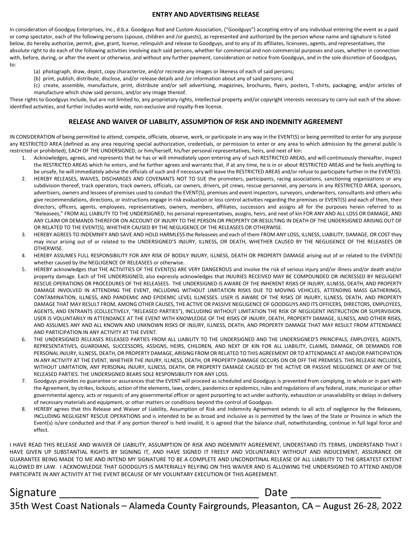#### ENTRY AND ADVERTISING RELEASE

In consideration of Goodguy Enterprises, Inc., d.b.a. Goodguys Rod and Custom Association, ("Goodguys") accepting entry of any individual entering the event as a paid or comp spectator, each of the following persons (spouse, children and /or guests), as represented and authorized by the person whose name and signature is listed below, do hereby authorize, permit, give, grant, license, relinquish and release to Goodguys, and to any of its affiliates, licensees, agents, and representatives, the absolute right to do each of the following activities involving each said persons, whether for commercial and non-commercial purposes and uses, whether in connection with, before, during, or after the event or otherwise, and without any further payment, consideration or notice from Goodguys, and in the sole discretion of Goodguys, to:

- (a) photograph, draw, depict, copy characterize, and/or recreate any images or likeness of each of said persons;
- (b) print, publish, distribute, disclose, and/or release details and /or information about any of said persons; and
- (c) create, assemble, manufacture, print, distribute and/or sell advertising, magazines, brochures, flyers, posters, T-shirts, packaging, and/or articles of manufacture which show said persons, and/or any image thereof.

These rights to Goodguys include, but are not limited to, any proprietary rights, intellectual property and/or copyright interests necessary to carry out each of the aboveidentified activities, and further includes world-wide, non-exclusive and royalty-free license.

#### RELEASE AND WAIVER OF LIABILITY, ASSUMPTION OF RISK AND INDEMNITY AGREEMENT

IN CONSIDERATION of being permitted to attend, compete, officiate, observe, work, or participate in any way in the EVENT(S) or being permitted to enter for any purpose any RESTRICTED AREA (defined as any area requiring special authorization, credentials, or permission to enter or any area to which admission by the general public is restricted or prohibited), EACH OF THE UNDERSIGNED, or him/herself, his/her personal representatives, heirs, and next of kin:

- 1. Acknowledges, agrees, and represents that he has or will immediately upon entering any of such RESTRICTED AREAS, and will continuously thereafter, inspect the RESTRICTED AREAS which he enters, and he further agrees and warrants that, if at any time, he is in or about RESTRICTED AREAS and he feels anything to be unsafe, he will immediately advise the officials of such and if necessary will leave the RESTRICTED AREAS and/or refuse to participate further in the EVENT(S).
- 2. HEREBY RELEASES, WAIVES, DISCHARGES AND COVENANTS NOT TO SUE the promoters, participants, racing associations, sanctioning organizations or any subdivision thereof, track operators, track owners, officials, car owners, drivers, pit crews, rescue personnel, any persons in any RESTRICTED AREA, sponsors, advertisers, owners and lessees of premises used to conduct the EVENT(S), premises and event inspectors, surveyors, underwriters, consultants and others who give recommendations, directions, or instructions engage in risk evaluation or loss control activities regarding the premises or EVENT(S) and each of them, their directors, officers, agents, employees, representatives, owners, members, affiliates, successors and assigns all for the purposes herein referred to as "Releasees," FROM ALL LIABILITY TO THE UNDERSIGNED, his personal representatives, assigns, heirs, and next of kin FOR ANY AND ALL LOSS OR DAMAGE, AND ANY CLAIM OR DEMANDS THEREFOR ON ACCOUNT OF INJURY TO THE PERSON OR PROPERTY OR RESULTING IN DEATH OF THE UNDERSIGNED ARISING OUT OF OR RELATED TO THE EVENT(S), WHETHER CAUSED BY THE NEGLIGENCE OF THE RELEASEES OR OTHERWISE.
- 3. HEREBY AGREES TO INDEMNIFY AND SAVE AND HOLD HARMLESS the Releasees and each of them FROM ANY LOSS, ILLNESS, LIABILITY, DAMAGE, OR COST they may incur arising out of or related to the UNDERSIGNED'S INJURY, ILLNESS, OR DEATH, WHETHER CAUSED BY THE NEGLIGENCE OF THE RELEASEES OR OTHERWISE.
- 4. HEREBY ASSUMES FULL RESPONSIBILITY FOR ANY RISK OF BODILY INJURY, ILLNESS, DEATH OR PROPERTY DAMAGE arising out of or related to the EVENT(S) whether caused by the NEGLIGENCE OF RELEASEES or otherwise.
- 5. HEREBY acknowledges that THE ACTIVITIES OF THE EVENT(S) ARE VERY DANGEROUS and involve the risk of serious injury and/or illness and/or death and/or property damage. Each of THE UNDERSIGNED, also expressly acknowledges that INJURIES RECEIVED MAY BE COMPOUNDED OR INCRESSED BY NEGLIGENT RESCUE OPERATIONS OR PROCEDURES OF THE RELEASEES. THE UNDERSIGNED IS AWARE OF THE INHERENT RISKS OF INJURY, ILLNESS, DEATH, AND PROPERTY DAMAGE INVOLVED IN ATTENDING THE EVENT, INCLUDING WITHOUT LIMITATION RISKS DUE TO MOVING VEHICLES, ATTENDING MASS GATHERINGS, CONTAMINATION, ILLNESS, AND PANDEMIC AND EPIDEMIC LEVEL ILLNESSES. USER IS AWARE OF THE RISKS OF INJURY, ILLNESS, DEATH, AND PROPERTY DAMAGE THAT MAY RESULT FROM, AMONG OTHER CAUSES, THE ACTIVE OR PASSIVE NEGLIGENCE OF GOODGUYS AND ITS OFFICERS, DIRECTORS, EMPLOYEES, AGENTS, AND ENTRANTS (COLLECTIVELY, "RELEASED PARTIES"), INCLUDING WITHOUT LIMITATION THE RISK OF NEGLIGENT INSTRUCTION OR SUPERVISION. USER IS VOLUNTARILY IN ATTENDANCE AT THE EVENT WITH KNOWLEDGE OF THE RISKS OF INJURY, DEATH, PROPERTY DAMAGE, ILLNESS, AND OTHER RISKS, AND ASSUMES ANY AND ALL KNOWN AND UNKNOWN RISKS OF INJURY, ILLNESS, DEATH, AND PROPERTY DAMAGE THAT MAY RESULT FROM ATTENDANCE AND PARTICIPATION IN ANY ACTIVITY AT THE EVENT.
- 6. THE UNDERSIGNED RELEASES RELEASED PARTIES FROM ALL LIABILITY TO THE UNDERSIGNED AND THE UNDERSIGNED'S PRINCIPALS, EMPLOYEES, AGENTS, REPRESENTATIVES, GUARDIANS, SUCCESSORS, ASSIGNS, HEIRS, CHILDREN, AND NEXT OF KIN FOR ALL LIABILITY, CLAIMS, DAMAGE, OR DEMANDS FOR PERSONAL INJURY, ILLNESS, DEATH, OR PROPERTY DAMAGE, ARISING FROM OR RELATED TO THIS AGREEMENT OR TO ATTENDANCE AT AND/OR PARTICIPATION IN ANY ACTIVITY AT THE EVENT, WHETHER THE INJURY, ILLNESS, DEATH, OR PROPERTY DAMAGE OCCURS ON OR OFF THE PREMISES. THIS RELEASE INCLUDES, WITHOUT LIMITATION, ANY PERSONAL INJURY, ILLNESS, DEATH, OR PROPERTY DAMAGE CAUSED BY THE ACTIVE OR PASSIVE NEGLIGENCE OF ANY OF THE RELEASED PARTIES. THE UNDERSIGNED BEARS SOLE RESPONSIBILITY FOR ANY LOSS.
- 7. Goodguys provides no guarantee or assurances that the EVENT will proceed as scheduled and Goodguys is prevented from complying, in whole or in part with the Agreement, by strikes, lockouts, action of the elements, laws, orders, pandemics or epidemics, rules and regulations of any federal, state, municipal or other governmental agency, acts or requests of any governmental officer or agent purporting to act under authority, exhaustion or unavailability or delays in delivery of necessary materials and equipment, or other matters or conditions beyond the control of Goodguys.
- 8. HEREBY agrees that this Release and Waiver of Liability, Assumption of Risk and Indemnity Agreement extends to all acts of negligence by the Releasees, INCLUDING NEGLIGENT RESCUE OPERATIONS and is intended to be as broad and inclusive as is permitted by the laws of the State or Province in which the Event(s) is/are conducted and that if any portion thereof is held invalid, it is agreed that the balance shall, notwithstanding, continue in full legal force and effect.

I HAVE READ THIS RELEASE AND WAIVER OF LIABILITY, ASSUMPTION OF RISK AND INDEMNITY AGREEMENT, UNDERSTAND ITS TERMS, UNDERSTAND THAT I HAVE GIVEN UP SUBSTANTIAL RIGHTS BY SIGNING IT, AND HAVE SIGNED IT FREELY AND VOLUNTARILY WITHOUT AND INDUCEMENT, ASSURANCE OR GUARANTEE BEING MADE TO ME AND INTEND MY SIGNATURE TO BE A COMPLETE AND UNCONDITINAL RELEASE OF ALL LIABILITY TO THE GREATEST EXTENT ALLOWED BY LAW. I ACKNOWLEDGE THAT GOODGUYS IS MATERIALLY RELYING ON THIS WAIVER AND IS ALLOWING THE UNDERSIGNED TO ATTEND AND/OR PARTICIPATE IN ANY ACTIVITY AT THE EVENT BECAUSE OF MY VOLUNTARY EXECUTION OF THIS AGREEMENT.

#### Signature \_\_\_\_\_\_\_\_\_\_\_\_\_\_\_\_\_\_\_\_\_\_\_\_\_\_\_\_\_\_\_\_\_ Date \_\_\_\_\_\_\_\_\_\_\_\_\_\_\_

5th West Coast Nationals - Alameda County Fairgrounds, Pleasanton, CA - August 26-28, 2022